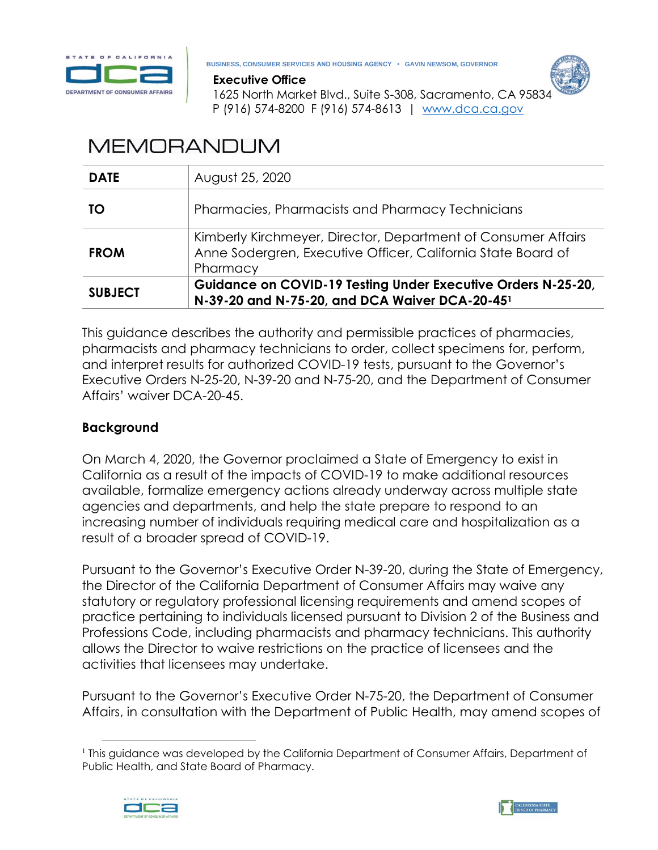

**BUSINESS, CONSUMER SERVICES AND HOUSING AGENCY • GAVIN NEWSOM, GOVERNOR**



 **Executive Office**

 1625 North Market Blvd., Suite S-308, Sacramento, CA 95834 P (916) 574-8200 F (916) 574-8613 | [www.dca.ca.gov](http://www.dca.ca.gov/)

# **MEMORANDUM**

| <b>DATE</b>    | August 25, 2020                                                                                                                           |
|----------------|-------------------------------------------------------------------------------------------------------------------------------------------|
| TO             | Pharmacies, Pharmacists and Pharmacy Technicians                                                                                          |
| <b>FROM</b>    | Kimberly Kirchmeyer, Director, Department of Consumer Affairs<br>Anne Sodergren, Executive Officer, California State Board of<br>Pharmacy |
| <b>SUBJECT</b> | Guidance on COVID-19 Testing Under Executive Orders N-25-20,<br>N-39-20 and N-75-20, and DCA Waiver DCA-20-451                            |

This guidance describes the authority and permissible practices of pharmacies, pharmacists and pharmacy technicians to order, collect specimens for, perform, and interpret results for authorized COVID-19 tests, pursuant to the Governor's Executive Orders N-25-20, N-39-20 and N-75-20, and the Department of Consumer Affairs' waiver DCA-20-45.

# **Background**

On March 4, 2020, the Governor proclaimed a State of Emergency to exist in California as a result of the impacts of COVID-19 to make additional resources available, formalize emergency actions already underway across multiple state agencies and departments, and help the state prepare to respond to an increasing number of individuals requiring medical care and hospitalization as a result of a broader spread of COVID-19.

Pursuant to the Governor's Executive Order N-39-20, during the State of Emergency, the Director of the California Department of Consumer Affairs may waive any statutory or regulatory professional licensing requirements and amend scopes of practice pertaining to individuals licensed pursuant to Division 2 of the Business and Professions Code, including pharmacists and pharmacy technicians. This authority allows the Director to waive restrictions on the practice of licensees and the activities that licensees may undertake.

Pursuant to the Governor's Executive Order N-75-20, the Department of Consumer Affairs, in consultation with the Department of Public Health, may amend scopes of

 $\overline{a}$ <sup>1</sup> This guidance was developed by the California Department of Consumer Affairs, Department of Public Health, and State Board of Pharmacy.



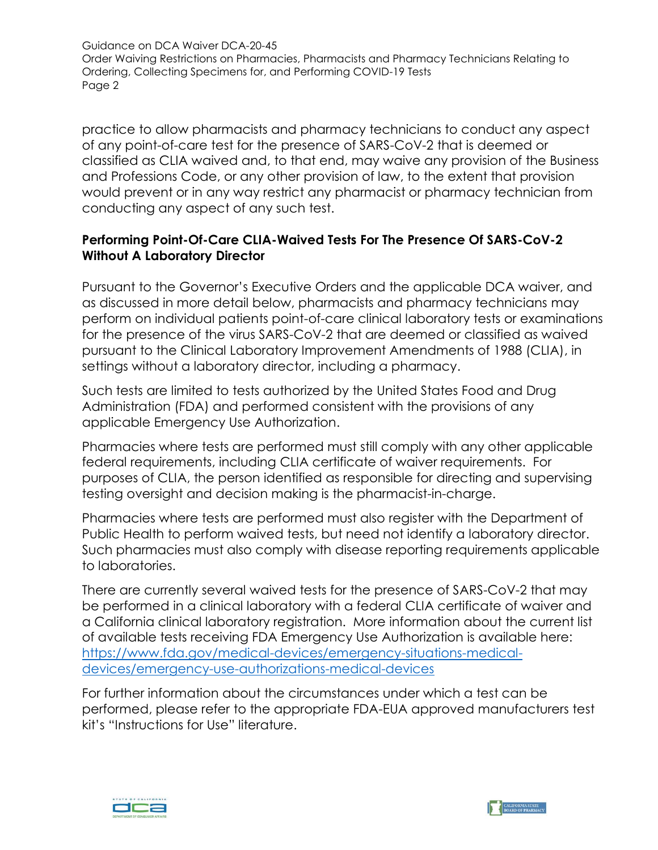practice to allow pharmacists and pharmacy technicians to conduct any aspect of any point-of-care test for the presence of SARS-CoV-2 that is deemed or classified as CLIA waived and, to that end, may waive any provision of the Business and Professions Code, or any other provision of law, to the extent that provision would prevent or in any way restrict any pharmacist or pharmacy technician from conducting any aspect of any such test.

# **Performing Point-Of-Care CLIA-Waived Tests For The Presence Of SARS-CoV-2 Without A Laboratory Director**

Pursuant to the Governor's Executive Orders and the applicable DCA waiver, and as discussed in more detail below, pharmacists and pharmacy technicians may perform on individual patients point-of-care clinical laboratory tests or examinations for the presence of the virus SARS-CoV-2 that are deemed or classified as waived pursuant to the Clinical Laboratory Improvement Amendments of 1988 (CLIA), in settings without a laboratory director, including a pharmacy.

Such tests are limited to tests authorized by the United States Food and Drug Administration (FDA) and performed consistent with the provisions of any applicable Emergency Use Authorization.

Pharmacies where tests are performed must still comply with any other applicable federal requirements, including CLIA certificate of waiver requirements. For purposes of CLIA, the person identified as responsible for directing and supervising testing oversight and decision making is the pharmacist-in-charge.

Pharmacies where tests are performed must also register with the Department of Public Health to perform waived tests, but need not identify a laboratory director. Such pharmacies must also comply with disease reporting requirements applicable to laboratories.

There are currently several waived tests for the presence of SARS-CoV-2 that may be performed in a clinical laboratory with a federal CLIA certificate of waiver and a California clinical laboratory registration. More information about the current list of available tests receiving FDA Emergency Use Authorization is available here: [https://www.fda.gov/medical-devices/emergency-situations-medical](https://www.fda.gov/medical-devices/emergency-situations-medical-devices/emergency-use-authorizations-medical-devices)[devices/emergency-use-authorizations-medical-devices](https://www.fda.gov/medical-devices/emergency-situations-medical-devices/emergency-use-authorizations-medical-devices)

For further information about the circumstances under which a test can be performed, please refer to the appropriate FDA-EUA approved manufacturers test kit's "Instructions for Use" literature.

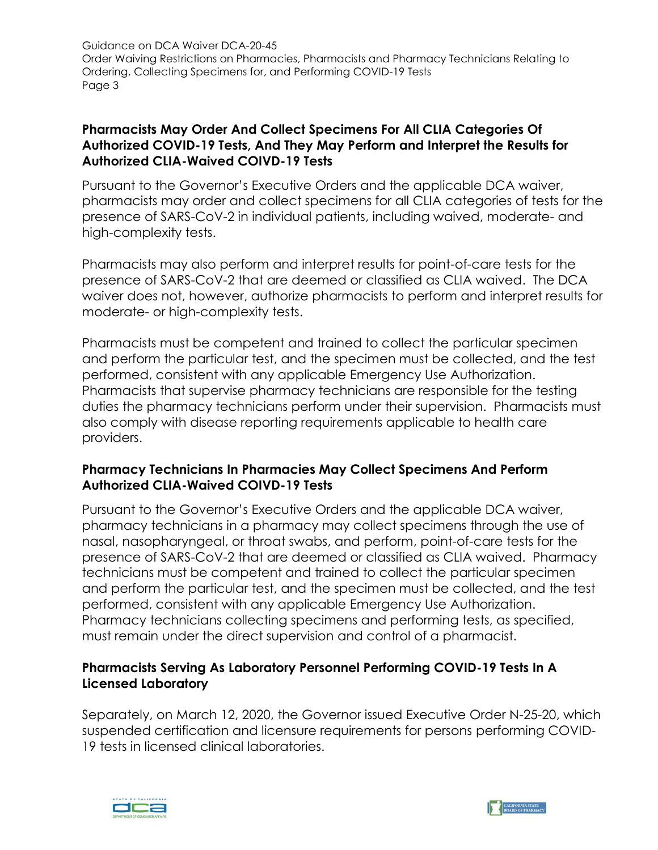#### **Pharmacists May Order And Collect Specimens For All CLIA Categories Of Authorized COVID-19 Tests, And They May Perform and Interpret the Results for Authorized CLIA-Waived COIVD-19 Tests**

Pursuant to the Governor's Executive Orders and the applicable DCA waiver, pharmacists may order and collect specimens for all CLIA categories of tests for the presence of SARS-CoV-2 in individual patients, including waived, moderate- and high-complexity tests.

Pharmacists may also perform and interpret results for point-of-care tests for the presence of SARS-CoV-2 that are deemed or classified as CLIA waived. The DCA waiver does not, however, authorize pharmacists to perform and interpret results for moderate- or high-complexity tests.

Pharmacists must be competent and trained to collect the particular specimen and perform the particular test, and the specimen must be collected, and the test performed, consistent with any applicable Emergency Use Authorization. Pharmacists that supervise pharmacy technicians are responsible for the testing duties the pharmacy technicians perform under their supervision. Pharmacists must also comply with disease reporting requirements applicable to health care providers.

## **Pharmacy Technicians In Pharmacies May Collect Specimens And Perform Authorized CLIA-Waived COIVD-19 Tests**

Pursuant to the Governor's Executive Orders and the applicable DCA waiver, pharmacy technicians in a pharmacy may collect specimens through the use of nasal, nasopharyngeal, or throat swabs, and perform, point-of-care tests for the presence of SARS-CoV-2 that are deemed or classified as CLIA waived. Pharmacy technicians must be competent and trained to collect the particular specimen and perform the particular test, and the specimen must be collected, and the test performed, consistent with any applicable Emergency Use Authorization. Pharmacy technicians collecting specimens and performing tests, as specified, must remain under the direct supervision and control of a pharmacist.

## **Pharmacists Serving As Laboratory Personnel Performing COVID-19 Tests In A Licensed Laboratory**

Separately, on March 12, 2020, the Governor issued Executive Order N-25-20, which suspended certification and licensure requirements for persons performing COVID-19 tests in licensed clinical laboratories.



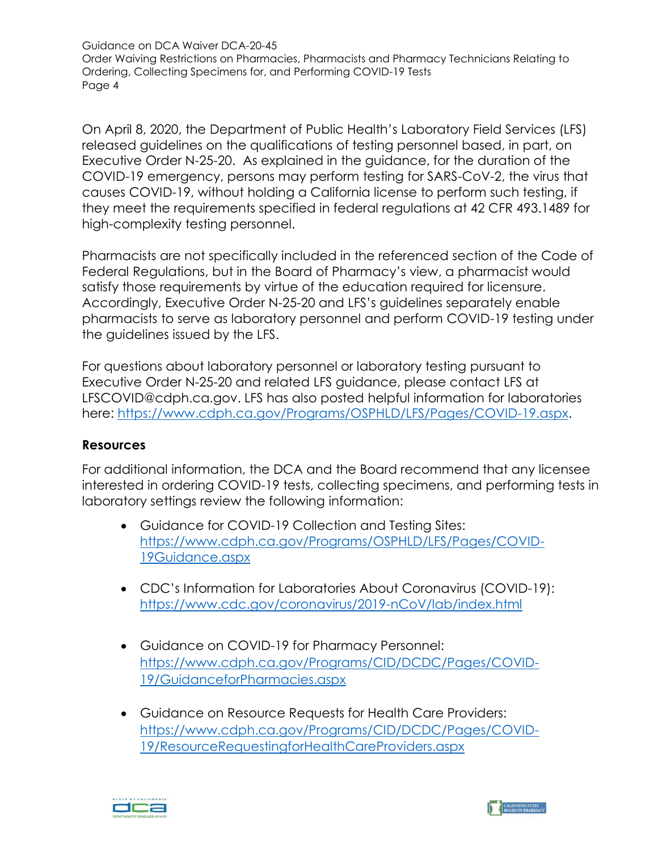On April 8, 2020, the Department of Public Health's Laboratory Field Services (LFS) released guidelines on the qualifications of testing personnel based, in part, on Executive Order N-25-20. As explained in the guidance, for the duration of the COVID-19 emergency, persons may perform testing for SARS-CoV-2, the virus that causes COVID-19, without holding a California license to perform such testing, if they meet the requirements specified in federal regulations at 42 CFR 493.1489 for high-complexity testing personnel.

Pharmacists are not specifically included in the referenced section of the Code of Federal Regulations, but in the Board of Pharmacy's view, a pharmacist would satisfy those requirements by virtue of the education required for licensure. Accordingly, Executive Order N-25-20 and LFS's guidelines separately enable pharmacists to serve as laboratory personnel and perform COVID-19 testing under the guidelines issued by the LFS.

For questions about laboratory personnel or laboratory testing pursuant to Executive Order N-25-20 and related LFS guidance, please contact LFS at LFSCOVID@cdph.ca.gov. LFS has also posted helpful information for laboratories here: [https://www.cdph.ca.gov/Programs/OSPHLD/LFS/Pages/COVID-19.aspx.](https://www.cdph.ca.gov/Programs/OSPHLD/LFS/Pages/COVID-19.aspx)

#### **Resources**

For additional information, the DCA and the Board recommend that any licensee interested in ordering COVID-19 tests, collecting specimens, and performing tests in laboratory settings review the following information:

- Guidance for COVID-19 Collection and Testing Sites: [https://www.cdph.ca.gov/Programs/OSPHLD/LFS/Pages/COVID-](https://www.cdph.ca.gov/Programs/OSPHLD/LFS/Pages/COVID-19Guidance.aspx)[19Guidance.aspx](https://www.cdph.ca.gov/Programs/OSPHLD/LFS/Pages/COVID-19Guidance.aspx)
- CDC's Information for Laboratories About Coronavirus (COVID-19): <https://www.cdc.gov/coronavirus/2019-nCoV/lab/index.html>
- Guidance on COVID-19 for Pharmacy Personnel: [https://www.cdph.ca.gov/Programs/CID/DCDC/Pages/COVID-](https://www.cdph.ca.gov/Programs/CID/DCDC/Pages/COVID-19/GuidanceforPharmacies.aspx)[19/GuidanceforPharmacies.aspx](https://www.cdph.ca.gov/Programs/CID/DCDC/Pages/COVID-19/GuidanceforPharmacies.aspx)
- Guidance on Resource Requests for Health Care Providers: [https://www.cdph.ca.gov/Programs/CID/DCDC/Pages/COVID-](https://www.cdph.ca.gov/Programs/CID/DCDC/Pages/COVID-19/ResourceRequestingforHealthCareProviders.aspx)[19/ResourceRequestingforHealthCareProviders.aspx](https://www.cdph.ca.gov/Programs/CID/DCDC/Pages/COVID-19/ResourceRequestingforHealthCareProviders.aspx)